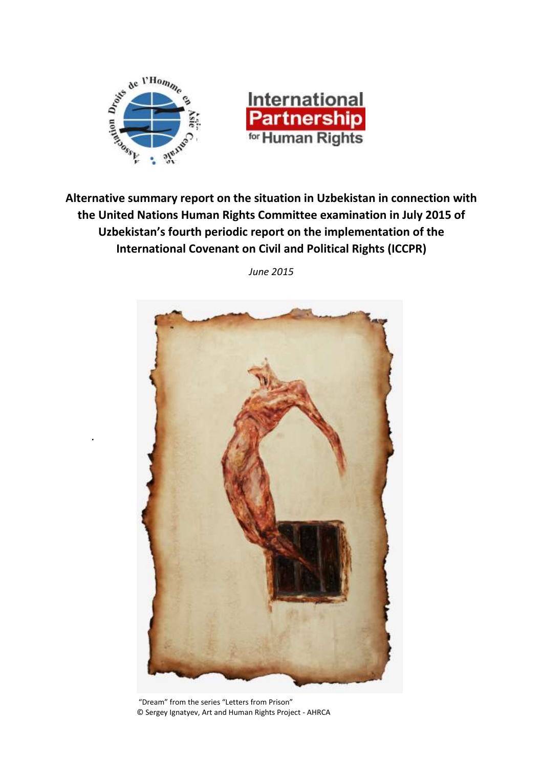

*.*



# **Alternative summary report on the situation in Uzbekistan in connection with the United Nations Human Rights Committee examination in July 2015 of Uzbekistan's fourth periodic report on the implementation of the International Covenant on Civil and Political Rights (ICCPR)**

*June 2015*



"Dream" from the series "Letters from Prison" © Sergey Ignatyev, Art and Human Rights Project - AHRCA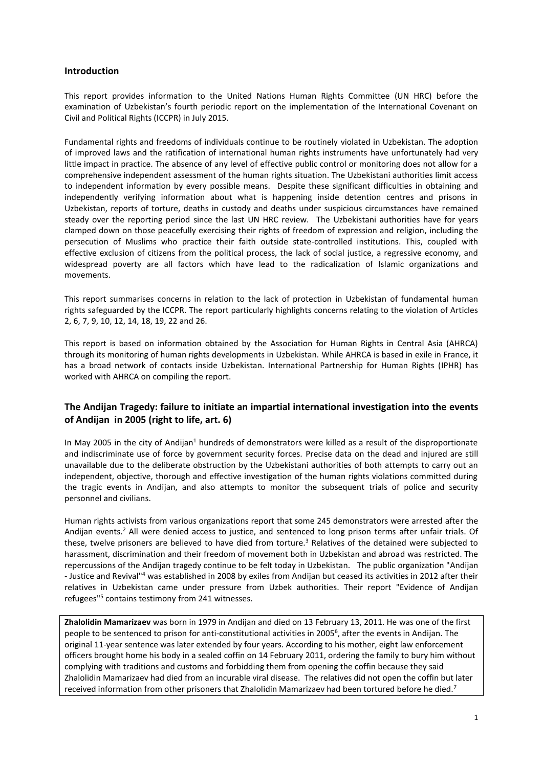### **Introduction**

This report provides information to the United Nations Human Rights Committee (UN HRC) before the examination of Uzbekistan's fourth periodic report on the implementation of the International Covenant on Civil and Political Rights (ICCPR) in July 2015.

Fundamental rights and freedoms of individuals continue to be routinely violated in Uzbekistan. The adoption of improved laws and the ratification of international human rights instruments have unfortunately had very little impact in practice. The absence of any level of effective public control or monitoring does not allow for a comprehensive independent assessment of the human rights situation. The Uzbekistani authorities limit access to independent information by every possible means. Despite these significant difficulties in obtaining and independently verifying information about what is happening inside detention centres and prisons in Uzbekistan, reports of torture, deaths in custody and deaths under suspicious circumstances have remained steady over the reporting period since the last UN HRC review. The Uzbekistani authorities have for years clamped down on those peacefully exercising their rights of freedom of expression and religion, including the persecution of Muslims who practice their faith outside state-controlled institutions. This, coupled with effective exclusion of citizens from the political process, the lack of social justice, a regressive economy, and widespread poverty are all factors which have lead to the radicalization of Islamic organizations and movements.

This report summarises concerns in relation to the lack of protection in Uzbekistan of fundamental human rights safeguarded by the ICCPR. The report particularly highlights concerns relating to the violation of Articles 2, 6, 7, 9, 10, 12, 14, 18, 19, 22 and 26.

This report is based on information obtained by the Association for Human Rights in Central Asia (AHRCA) through its monitoring of human rights developments in Uzbekistan. While AHRCA is based in exile in France, it has a broad network of contacts inside Uzbekistan. International Partnership for Human Rights (IPHR) has worked with AHRCA on compiling the report.

# **The Andijan Tragedy: failure to initiate an impartial international investigation into the events of Andijan in 2005 (right to life, art. 6)**

In May 2005 in the city of Andijan<sup>1</sup> hundreds of demonstrators were killed as a result of the disproportionate and indiscriminate use of force by government security forces. Precise data on the dead and injured are still unavailable due to the deliberate obstruction by the Uzbekistani authorities of both attempts to carry out an independent, objective, thorough and effective investigation of the human rights violations committed during the tragic events in Andijan, and also attempts to monitor the subsequent trials of police and security personnel and civilians.

Human rights activists from various organizations report that some 245 demonstrators were arrested after the Andijan events.<sup>2</sup> All were denied access to justice, and sentenced to long prison terms after unfair trials. Of these, twelve prisoners are believed to have died from torture.<sup>3</sup> Relatives of the detained were subjected to harassment, discrimination and their freedom of movement both in Uzbekistan and abroad was restricted. The repercussions of the Andijan tragedy continue to be felt today in Uzbekistan. The public organization "Andijan - Justice and Revival"<sup>4</sup> was established in 2008 by exiles from Andijan but ceased its activities in 2012 after their relatives in Uzbekistan came under pressure from Uzbek authorities. Their report "Evidence of Andijan refugees" 5 contains testimony from 241 witnesses.

**Zhalolidin Mamarizaev** was born in 1979 in Andijan and died on 13 February 13, 2011. He was one of the first people to be sentenced to prison for anti-constitutional activities in 2005<sup>6</sup>, after the events in Andijan. The original 11-year sentence was later extended by four years. According to his mother, eight law enforcement officers brought home his body in a sealed coffin on 14 February 2011, ordering the family to bury him without complying with traditions and customs and forbidding them from opening the coffin because they said Zhalolidin Mamarizaev had died from an incurable viral disease. The relatives did not open the coffin but later received information from other prisoners that Zhalolidin Mamarizaev had been tortured before he died.<sup>7</sup>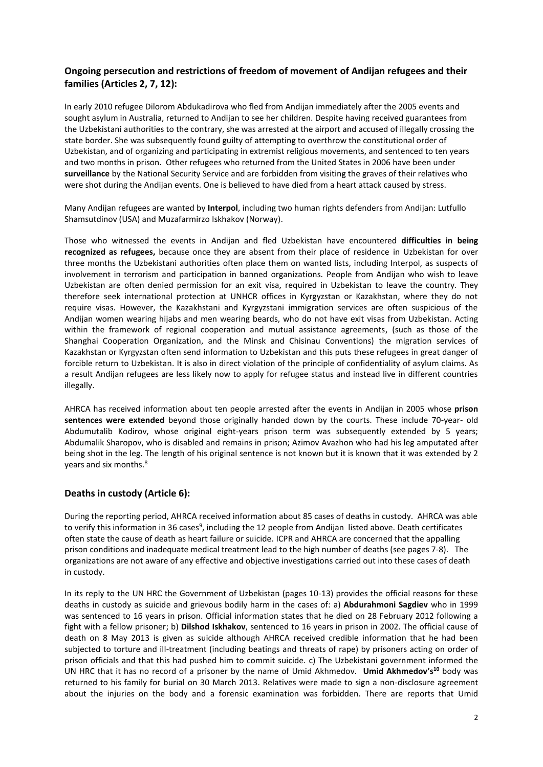# **Ongoing persecution and restrictions of freedom of movement of Andijan refugees and their families (Articles 2, 7, 12):**

In early 2010 refugee Dilorom Abdukadirova who fled from Andijan immediately after the 2005 events and sought asylum in Australia, returned to Andijan to see her children. Despite having received guarantees from the Uzbekistani authorities to the contrary, she was arrested at the airport and accused of illegally crossing the state border. She was subsequently found guilty of attempting to overthrow the constitutional order of Uzbekistan, and of organizing and participating in extremist religious movements, and sentenced to ten years and two months in prison. Other refugees who returned from the United States in 2006 have been under **surveillance** by the National Security Service and are forbidden from visiting the graves of their relatives who were shot during the Andijan events. One is believed to have died from a heart attack caused by stress.

Many Andijan refugees are wanted by **Interpol**, including two human rights defenders from Andijan: Lutfullo Shamsutdinov (USA) and Muzafarmirzo Iskhakov (Norway).

Those who witnessed the events in Andijan and fled Uzbekistan have encountered **difficulties in being recognized as refugees,** because once they are absent from their place of residence in Uzbekistan for over three months the Uzbekistani authorities often place them on wanted lists, including Interpol, as suspects of involvement in terrorism and participation in banned organizations. People from Andijan who wish to leave Uzbekistan are often denied permission for an exit visa, required in Uzbekistan to leave the country. They therefore seek international protection at UNHCR offices in Kyrgyzstan or Kazakhstan, where they do not require visas. However, the Kazakhstani and Kyrgyzstani immigration services are often suspicious of the Andijan women wearing hijabs and men wearing beards, who do not have exit visas from Uzbekistan. Acting within the framework of regional cooperation and mutual assistance agreements, (such as those of the Shanghai Cooperation Organization, and the Minsk and Chisinau Conventions) the migration services of Kazakhstan or Kyrgyzstan often send information to Uzbekistan and this puts these refugees in great danger of forcible return to Uzbekistan. It is also in direct violation of the principle of confidentiality of asylum claims. As a result Andijan refugees are less likely now to apply for refugee status and instead live in different countries illegally.

AHRCA has received information about ten people arrested after the events in Andijan in 2005 whose **prison sentences were extended** beyond those originally handed down by the courts. These include 70-year- old Abdumutalib Kodirov, whose original eight-years prison term was subsequently extended by 5 years; Abdumalik Sharopov, who is disabled and remains in prison; Azimov Avazhon who had his leg amputated after being shot in the leg. The length of his original sentence is not known but it is known that it was extended by 2 years and six months.<sup>8</sup>

# **Deaths in custody (Article 6):**

During the reporting period, AHRCA received information about 85 cases of deaths in custody. AHRCA was able to verify this information in 36 cases<sup>9</sup>, including the 12 people from Andijan listed above. Death certificates often state the cause of death as heart failure or suicide. ICPR and AHRCA are concerned that the appalling prison conditions and inadequate medical treatment lead to the high number of deaths (see pages 7-8). The organizations are not aware of any effective and objective investigations carried out into these cases of death in custody.

In its reply to the UN HRC the Government of Uzbekistan (pages 10-13) provides the official reasons for these deaths in custody as suicide and grievous bodily harm in the cases of: a) **Abdurahmoni Sagdiev** who in 1999 was sentenced to 16 years in prison. Official information states that he died on 28 February 2012 following a fight with a fellow prisoner; b) **Dilshod Iskhakov**, sentenced to 16 years in prison in 2002. The official cause of death on 8 May 2013 is given as suicide although AHRCA received credible information that he had been subjected to torture and ill-treatment (including beatings and threats of rape) by prisoners acting on order of prison officials and that this had pushed him to commit suicide. c) The Uzbekistani government informed the UN HRC that it has no record of a prisoner by the name of Umid Akhmedov. **Umid Akhmedov's<sup>10</sup>** body was returned to his family for burial on 30 March 2013. Relatives were made to sign a non-disclosure agreement about the injuries on the body and a forensic examination was forbidden. There are reports that Umid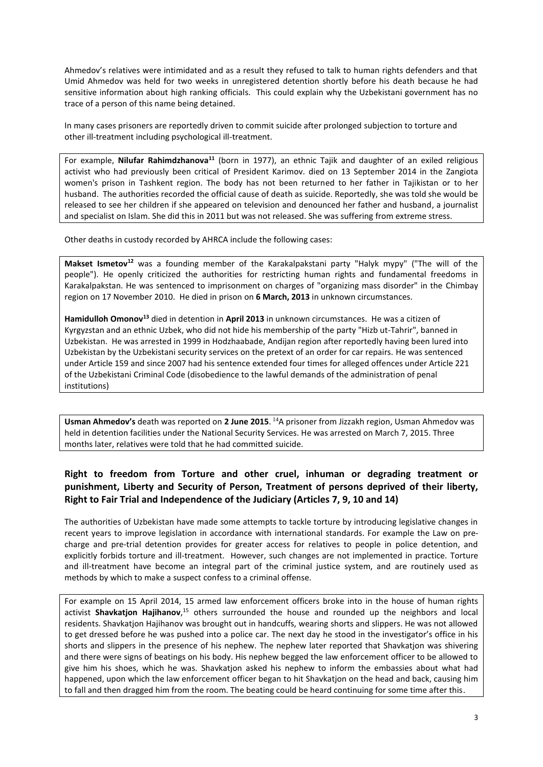Ahmedov's relatives were intimidated and as a result they refused to talk to human rights defenders and that Umid Ahmedov was held for two weeks in unregistered detention shortly before his death because he had sensitive information about high ranking officials. This could explain why the Uzbekistani government has no trace of a person of this name being detained.

In many cases prisoners are reportedly driven to commit suicide after prolonged subjection to torture and other ill-treatment including psychological ill-treatment.

For example, **Nilufar Rahimdzhanova<sup>11</sup>** (born in 1977), an ethnic Tajik and daughter of an exiled religious activist who had previously been critical of President Karimov. died on 13 September 2014 in the Zangiota women's prison in Tashkent region. The body has not been returned to her father in Tajikistan or to her husband. The authorities recorded the official cause of death as suicide. Reportedly, she was told she would be released to see her children if she appeared on television and denounced her father and husband, a journalist and specialist on Islam. She did this in 2011 but was not released. She was suffering from extreme stress.

Other deaths in custody recorded by AHRCA include the following cases:

**Makset Ismetov<sup>12</sup>** was a founding member of the Karakalpakstani party "Halyk mypy" ("The will of the people"). He openly criticized the authorities for restricting human rights and fundamental freedoms in Karakalpakstan. He was sentenced to imprisonment on charges of "organizing mass disorder" in the Chimbay region on 17 November 2010. He died in prison on **6 March, 2013** in unknown circumstances.

**Hamidulloh Omonov<sup>13</sup>** died in detention in **April 2013** in unknown circumstances. He was a citizen of Kyrgyzstan and an ethnic Uzbek, who did not hide his membership of the party "Hizb ut-Tahrir", banned in Uzbekistan. He was arrested in 1999 in Hodzhaabade, Andijan region after reportedly having been lured into Uzbekistan by the Uzbekistani security services on the pretext of an order for car repairs. He was sentenced under Article 159 and since 2007 had his sentence extended four times for alleged offences under Article 221 of the Uzbekistani Criminal Code (disobedience to the lawful demands of the administration of penal institutions)

**Usman Ahmedov's** death was reported on **2 June 2015**. <sup>14</sup>A prisoner from Jizzakh region, Usman Ahmedov was held in detention facilities under the National Security Services. He was arrested on March 7, 2015. Three months later, relatives were told that he had committed suicide.

# **Right to freedom from Torture and other cruel, inhuman or degrading treatment or punishment, Liberty and Security of Person, Treatment of persons deprived of their liberty, Right to Fair Trial and Independence of the Judiciary (Articles 7, 9, 10 and 14)**

The authorities of Uzbekistan have made some attempts to tackle torture by introducing legislative changes in recent years to improve legislation in accordance with international standards. For example the Law on precharge and pre-trial detention provides for greater access for relatives to people in police detention, and explicitly forbids torture and ill-treatment. However, such changes are not implemented in practice. Torture and ill-treatment have become an integral part of the criminal justice system, and are routinely used as methods by which to make a suspect confess to a criminal offense.

For example on 15 April 2014, 15 armed law enforcement officers broke into in the house of human rights activist Shavkatjon Hajihanov,<sup>15</sup> others surrounded the house and rounded up the neighbors and local residents. Shavkatjon Hajihanov was brought out in handcuffs, wearing shorts and slippers. He was not allowed to get dressed before he was pushed into a police car. The next day he stood in the investigator's office in his shorts and slippers in the presence of his nephew. The nephew later reported that Shavkatjon was shivering and there were signs of beatings on his body. His nephew begged the law enforcement officer to be allowed to give him his shoes, which he was. Shavkatjon asked his nephew to inform the embassies about what had happened, upon which the law enforcement officer began to hit Shavkatjon on the head and back, causing him to fall and then dragged him from the room. The beating could be heard continuing for some time after this.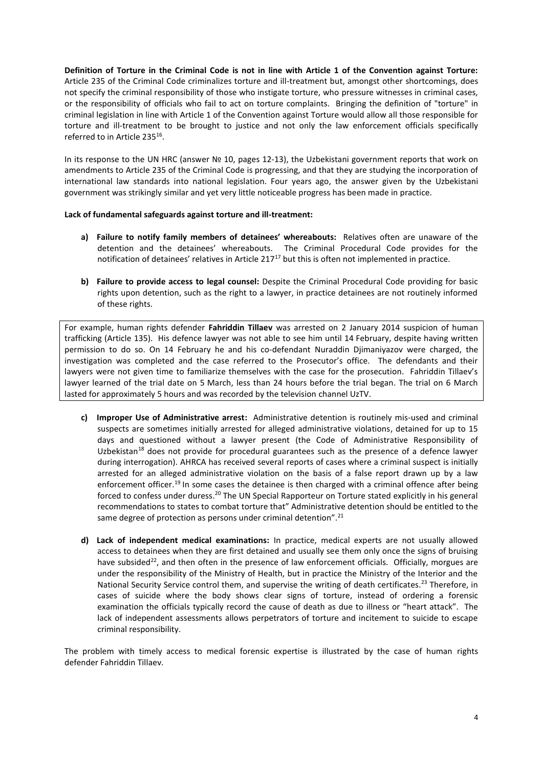**Definition of Torture in the Criminal Code is not in line with Article 1 of the Convention against Torture:**  Article 235 of the Criminal Code criminalizes torture and ill-treatment but, amongst other shortcomings, does not specify the criminal responsibility of those who instigate torture, who pressure witnesses in criminal cases, or the responsibility of officials who fail to act on torture complaints. Bringing the definition of "torture" in criminal legislation in line with Article 1 of the Convention against Torture would allow all those responsible for torture and ill-treatment to be brought to justice and not only the law enforcement officials specifically referred to in Article 235<sup>16</sup>.

In its response to the UN HRC (answer № 10, pages 12-13), the Uzbekistani government reports that work on amendments to Article 235 of the Criminal Code is progressing, and that they are studying the incorporation of international law standards into national legislation. Four years ago, the answer given by the Uzbekistani government was strikingly similar and yet very little noticeable progress has been made in practice.

#### **Lack of fundamental safeguards against torture and ill-treatment:**

- **a) Failure to notify family members of detainees' whereabouts:** Relatives often are unaware of the detention and the detainees' whereabouts. The Criminal Procedural Code provides for the notification of detainees' relatives in Article 217<sup>17</sup> but this is often not implemented in practice.
- **b) Failure to provide access to legal counsel:** Despite the Criminal Procedural Code providing for basic rights upon detention, such as the right to a lawyer, in practice detainees are not routinely informed of these rights.

For example, human rights defender **Fahriddin Tillaev** was arrested on 2 January 2014 suspicion of human trafficking (Article 135). His defence lawyer was not able to see him until 14 February, despite having written permission to do so. On 14 February he and his co-defendant Nuraddin Djimaniyazov were charged, the investigation was completed and the case referred to the Prosecutor's office. The defendants and their lawyers were not given time to familiarize themselves with the case for the prosecution. Fahriddin Tillaev's lawyer learned of the trial date on 5 March, less than 24 hours before the trial began. The trial on 6 March lasted for approximately 5 hours and was recorded by the television channel UzTV.

- **c) Improper Use of Administrative arrest:** Administrative detention is routinely mis-used and criminal suspects are sometimes initially arrested for alleged administrative violations, detained for up to 15 days and questioned without a lawyer present (the Code of Administrative Responsibility of Uzbekistan<sup>18</sup> does not provide for procedural guarantees such as the presence of a defence lawyer during interrogation). AHRCA has received several reports of cases where a criminal suspect is initially arrested for an alleged administrative violation on the basis of a false report drawn up by a law enforcement officer.<sup>19</sup> In some cases the detainee is then charged with a criminal offence after being forced to confess under duress.<sup>20</sup> The UN Special Rapporteur on Torture stated explicitly in his general recommendations to states to combat torture that" Administrative detention should be entitled to the same degree of protection as persons under criminal detention".<sup>21</sup>
- **d) Lack of independent medical examinations:** In practice, medical experts are not usually allowed access to detainees when they are first detained and usually see them only once the signs of bruising have subsided<sup>22</sup>, and then often in the presence of law enforcement officials. Officially, morgues are under the responsibility of the Ministry of Health, but in practice the Ministry of the Interior and the National Security Service control them, and supervise the writing of death certificates.<sup>23</sup> Therefore, in cases of suicide where the body shows clear signs of torture, instead of ordering a forensic examination the officials typically record the cause of death as due to illness or "heart attack". The lack of independent assessments allows perpetrators of torture and incitement to suicide to escape criminal responsibility.

The problem with timely access to medical forensic expertise is illustrated by the case of human rights defender Fahriddin Tillaev.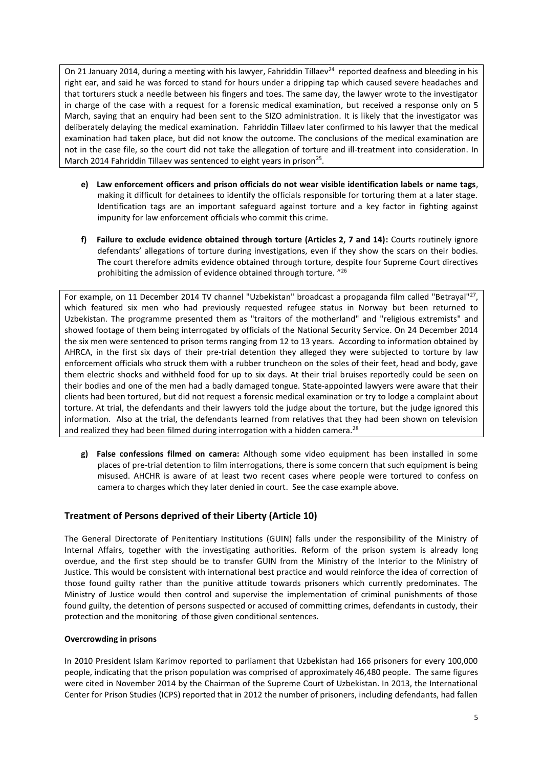On 21 January 2014, during a meeting with his lawyer, Fahriddin Tillaev<sup>24</sup> reported deafness and bleeding in his right ear, and said he was forced to stand for hours under a dripping tap which caused severe headaches and that torturers stuck a needle between his fingers and toes. The same day, the lawyer wrote to the investigator in charge of the case with a request for a forensic medical examination, but received a response only on 5 March, saying that an enquiry had been sent to the SIZO administration. It is likely that the investigator was deliberately delaying the medical examination. Fahriddin Tillaev later confirmed to his lawyer that the medical examination had taken place, but did not know the outcome. The conclusions of the medical examination are not in the case file, so the court did not take the allegation of torture and ill-treatment into consideration. In March 2014 Fahriddin Tillaev was sentenced to eight years in prison<sup>25</sup>.

- **e) Law enforcement officers and prison officials do not wear visible identification labels or name tags**, making it difficult for detainees to identify the officials responsible for torturing them at a later stage. Identification tags are an important safeguard against torture and a key factor in fighting against impunity for law enforcement officials who commit this crime.
- **f) Failure to exclude evidence obtained through torture (Articles 2, 7 and 14):** Courts routinely ignore defendants' allegations of torture during investigations, even if they show the scars on their bodies. The court therefore admits evidence obtained through torture, despite four Supreme Court directives prohibiting the admission of evidence obtained through torture. " 26

For example, on 11 December 2014 TV channel "Uzbekistan" broadcast a propaganda film called "Betrayal"<sup>27</sup>, which featured six men who had previously requested refugee status in Norway but been returned to Uzbekistan. The programme presented them as "traitors of the motherland" and "religious extremists" and showed footage of them being interrogated by officials of the National Security Service. On 24 December 2014 the six men were sentenced to prison terms ranging from 12 to 13 years. According to information obtained by AHRCA, in the first six days of their pre-trial detention they alleged they were subjected to torture by law enforcement officials who struck them with a rubber truncheon on the soles of their feet, head and body, gave them electric shocks and withheld food for up to six days. At their trial bruises reportedly could be seen on their bodies and one of the men had a badly damaged tongue. State-appointed lawyers were aware that their clients had been tortured, but did not request a forensic medical examination or try to lodge a complaint about torture. At trial, the defendants and their lawyers told the judge about the torture, but the judge ignored this information. Also at the trial, the defendants learned from relatives that they had been shown on television and realized they had been filmed during interrogation with a hidden camera.<sup>28</sup>

**g) False confessions filmed on camera:** Although some video equipment has been installed in some places of pre-trial detention to film interrogations, there is some concern that such equipment is being misused. AHCHR is aware of at least two recent cases where people were tortured to confess on camera to charges which they later denied in court. See the case example above.

# **Treatment of Persons deprived of their Liberty (Article 10)**

The General Directorate of Penitentiary Institutions (GUIN) falls under the responsibility of the Ministry of Internal Affairs, together with the investigating authorities. Reform of the prison system is already long overdue, and the first step should be to transfer GUIN from the Ministry of the Interior to the Ministry of Justice. This would be consistent with international best practice and would reinforce the idea of correction of those found guilty rather than the punitive attitude towards prisoners which currently predominates. The Ministry of Justice would then control and supervise the implementation of criminal punishments of those found guilty, the detention of persons suspected or accused of committing crimes, defendants in custody, their protection and the monitoring of those given conditional sentences.

### **Overcrowding in prisons**

In 2010 President Islam Karimov reported to parliament that Uzbekistan had 166 prisoners for every 100,000 people, indicating that the prison population was comprised of approximately 46,480 people. The same figures were cited in November 2014 by the Chairman of the Supreme Court of Uzbekistan. In 2013, the International Center for Prison Studies (ICPS) reported that in 2012 the number of prisoners, including defendants, had fallen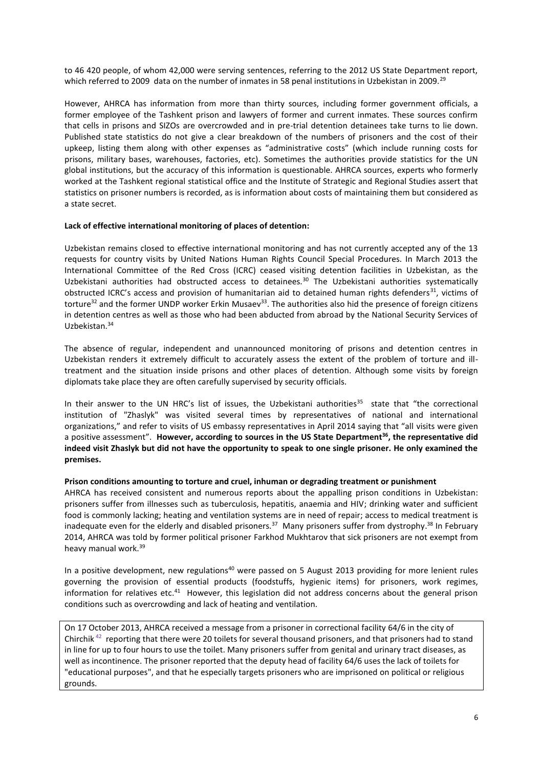to 46 420 people, of whom 42,000 were serving sentences, referring to the 2012 US State Department report, which referred to 2009 data on the number of inmates in 58 penal institutions in Uzbekistan in 2009.<sup>29</sup>

However, AHRCA has information from more than thirty sources, including former government officials, a former employee of the Tashkent prison and lawyers of former and current inmates. These sources confirm that cells in prisons and SIZOs are overcrowded and in pre-trial detention detainees take turns to lie down. Published state statistics do not give a clear breakdown of the numbers of prisoners and the cost of their upkeep, listing them along with other expenses as "administrative costs" (which include running costs for prisons, military bases, warehouses, factories, etc). Sometimes the authorities provide statistics for the UN global institutions, but the accuracy of this information is questionable. AHRCA sources, experts who formerly worked at the Tashkent regional statistical office and the Institute of Strategic and Regional Studies assert that statistics on prisoner numbers is recorded, as is information about costs of maintaining them but considered as a state secret.

#### **Lack of effective international monitoring of places of detention:**

Uzbekistan remains closed to effective international monitoring and has not currently accepted any of the 13 requests for country visits by United Nations Human Rights Council Special Procedures. In March 2013 the International Committee of the Red Cross (ICRC) ceased visiting detention facilities in Uzbekistan, as the Uzbekistani authorities had obstructed access to detainees.<sup>30</sup> The Uzbekistani authorities systematically obstructed ICRC's access and provision of humanitarian aid to detained human rights defenders<sup>31</sup>, victims of torture<sup>32</sup> and the former UNDP worker Erkin Musaev<sup>33</sup>. The authorities also hid the presence of foreign citizens in detention centres as well as those who had been abducted from abroad by the National Security Services of Uzbekistan.<sup>34</sup>

The absence of regular, independent and unannounced monitoring of prisons and detention centres in Uzbekistan renders it extremely difficult to accurately assess the extent of the problem of torture and illtreatment and the situation inside prisons and other places of detention. Although some visits by foreign diplomats take place they are often carefully supervised by security officials.

In their answer to the UN HRC's list of issues, the Uzbekistani authorities<sup>35</sup> state that "the correctional institution of "Zhaslyk" was visited several times by representatives of national and international organizations," and refer to visits of US embassy representatives in April 2014 saying that "all visits were given a positive assessment". **However, according to sources in the US State Department<sup>36</sup>, the representative did indeed visit Zhaslyk but did not have the opportunity to speak to one single prisoner. He only examined the premises.** 

#### **Prison conditions amounting to torture and cruel, inhuman or degrading treatment or punishment**

AHRCA has received consistent and numerous reports about the appalling prison conditions in Uzbekistan: prisoners suffer from illnesses such as tuberculosis, hepatitis, anaemia and HIV; drinking water and sufficient food is commonly lacking; heating and ventilation systems are in need of repair; access to medical treatment is inadequate even for the elderly and disabled prisoners.<sup>37</sup> Many prisoners suffer from dystrophy.<sup>38</sup> In February 2014, AHRCA was told by former political prisoner Farkhod Mukhtarov that sick prisoners are not exempt from heavy manual work. 39

In a positive development, new regulations<sup>40</sup> were passed on 5 August 2013 providing for more lenient rules governing the provision of essential products (foodstuffs, hygienic items) for prisoners, work regimes, information for relatives etc.<sup>41</sup> However, this legislation did not address concerns about the general prison conditions such as overcrowding and lack of heating and ventilation.

On 17 October 2013, AHRCA received a message from a prisoner in correctional facility 64/6 in the city of Chirchik<sup>42</sup> reporting that there were 20 toilets for several thousand prisoners, and that prisoners had to stand in line for up to four hours to use the toilet. Many prisoners suffer from genital and urinary tract diseases, as well as incontinence. The prisoner reported that the deputy head of facility 64/6 uses the lack of toilets for "educational purposes", and that he especially targets prisoners who are imprisoned on political or religious grounds.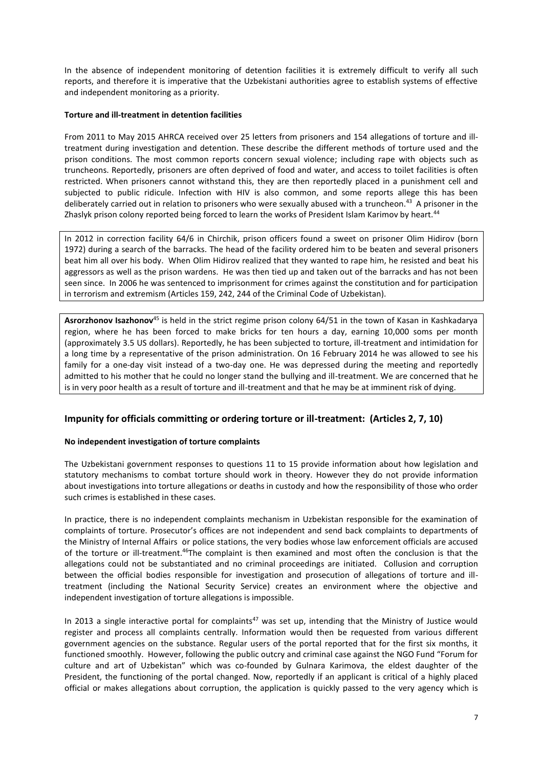In the absence of independent monitoring of detention facilities it is extremely difficult to verify all such reports, and therefore it is imperative that the Uzbekistani authorities agree to establish systems of effective and independent monitoring as a priority.

#### **Torture and ill-treatment in detention facilities**

From 2011 to May 2015 AHRCA received over 25 letters from prisoners and 154 allegations of torture and illtreatment during investigation and detention. These describe the different methods of torture used and the prison conditions. The most common reports concern sexual violence; including rape with objects such as truncheons. Reportedly, prisoners are often deprived of food and water, and access to toilet facilities is often restricted. When prisoners cannot withstand this, they are then reportedly placed in a punishment cell and subjected to public ridicule. Infection with HIV is also common, and some reports allege this has been deliberately carried out in relation to prisoners who were sexually abused with a truncheon.<sup>43</sup> A prisoner in the Zhaslyk prison colony reported being forced to learn the works of President Islam Karimov by heart.<sup>44</sup>

In 2012 in correction facility 64/6 in Chirchik, prison officers found a sweet on prisoner Olim Hidirov (born 1972) during a search of the barracks. The head of the facility ordered him to be beaten and several prisoners beat him all over his body. When Olim Hidirov realized that they wanted to rape him, he resisted and beat his aggressors as well as the prison wardens. He was then tied up and taken out of the barracks and has not been seen since. In 2006 he was sentenced to imprisonment for crimes against the constitution and for participation in terrorism and extremism (Articles 159, 242, 244 of the Criminal Code of Uzbekistan).

**Asrorzhonov Isazhonov**<sup>45</sup> is held in the strict regime prison colony 64/51 in the town of Kasan in Kashkadarya region, where he has been forced to make bricks for ten hours a day, earning 10,000 soms per month (approximately 3.5 US dollars). Reportedly, he has been subjected to torture, ill-treatment and intimidation for a long time by a representative of the prison administration. On 16 February 2014 he was allowed to see his family for a one-day visit instead of a two-day one. He was depressed during the meeting and reportedly admitted to his mother that he could no longer stand the bullying and ill-treatment. We are concerned that he is in very poor health as a result of torture and ill-treatment and that he may be at imminent risk of dying.

### **Impunity for officials committing or ordering torture or ill-treatment: (Articles 2, 7, 10)**

#### **No independent investigation of torture complaints**

The Uzbekistani government responses to questions 11 to 15 provide information about how legislation and statutory mechanisms to combat torture should work in theory. However they do not provide information about investigations into torture allegations or deaths in custody and how the responsibility of those who order such crimes is established in these cases.

In practice, there is no independent complaints mechanism in Uzbekistan responsible for the examination of complaints of torture. Prosecutor's offices are not independent and send back complaints to departments of the Ministry of Internal Affairs or police stations, the very bodies whose law enforcement officials are accused of the torture or ill-treatment.<sup>46</sup>The complaint is then examined and most often the conclusion is that the allegations could not be substantiated and no criminal proceedings are initiated. Collusion and corruption between the official bodies responsible for investigation and prosecution of allegations of torture and illtreatment (including the National Security Service) creates an environment where the objective and independent investigation of torture allegations is impossible.

In 2013 a single interactive portal for complaints<sup>47</sup> was set up, intending that the Ministry of Justice would register and process all complaints centrally. Information would then be requested from various different government agencies on the substance. Regular users of the portal reported that for the first six months, it functioned smoothly. However, following the public outcry and criminal case against the NGO Fund "Forum for culture and art of Uzbekistan" which was co-founded by Gulnara Karimova, the eldest daughter of the President, the functioning of the portal changed. Now, reportedly if an applicant is critical of a highly placed official or makes allegations about corruption, the application is quickly passed to the very agency which is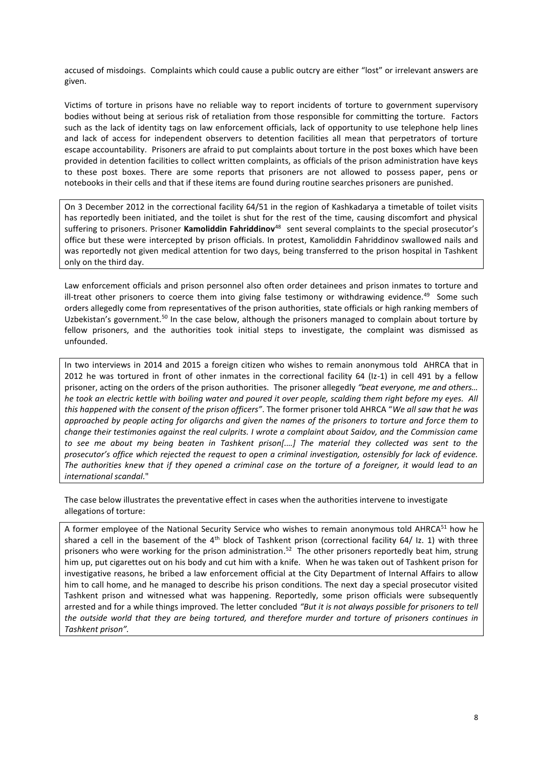accused of misdoings. Complaints which could cause a public outcry are either "lost" or irrelevant answers are given.

Victims of torture in prisons have no reliable way to report incidents of torture to government supervisory bodies without being at serious risk of retaliation from those responsible for committing the torture. Factors such as the lack of identity tags on law enforcement officials, lack of opportunity to use telephone help lines and lack of access for independent observers to detention facilities all mean that perpetrators of torture escape accountability. Prisoners are afraid to put complaints about torture in the post boxes which have been provided in detention facilities to collect written complaints, as officials of the prison administration have keys to these post boxes. There are some reports that prisoners are not allowed to possess paper, pens or notebooks in their cells and that if these items are found during routine searches prisoners are punished.

On 3 December 2012 in the correctional facility 64/51 in the region of Kashkadarya a timetable of toilet visits has reportedly been initiated, and the toilet is shut for the rest of the time, causing discomfort and physical suffering to prisoners. Prisoner **Kamoliddin Fahriddinov**<sup>48</sup> sent several complaints to the special prosecutor's office but these were intercepted by prison officials. In protest, Kamoliddin Fahriddinov swallowed nails and was reportedly not given medical attention for two days, being transferred to the prison hospital in Tashkent only on the third day.

Law enforcement officials and prison personnel also often order detainees and prison inmates to torture and ill-treat other prisoners to coerce them into giving false testimony or withdrawing evidence.<sup>49</sup> Some such orders allegedly come from representatives of the prison authorities, state officials or high ranking members of Uzbekistan's government.<sup>50</sup> In the case below, although the prisoners managed to complain about torture by fellow prisoners, and the authorities took initial steps to investigate, the complaint was dismissed as unfounded.

In two interviews in 2014 and 2015 a foreign citizen who wishes to remain anonymous told AHRCA that in 2012 he was tortured in front of other inmates in the correctional facility 64 (Iz-1) in cell 491 by a fellow prisoner, acting on the orders of the prison authorities. The prisoner allegedly *"beat everyone, me and others… he took an electric kettle with boiling water and poured it over people, scalding them right before my eyes. All this happened with the consent of the prison officers"*. The former prisoner told AHRCA "*We all saw that he was approached by people acting for oligarchs and given the names of the prisoners to torture and force them to change their testimonies against the real culprits. I wrote a complaint about Saidov, and the Commission came to see me about my being beaten in Tashkent prison[.…] The material they collected was sent to the prosecutor's office which rejected the request to open a criminal investigation, ostensibly for lack of evidence. The authorities knew that if they opened a criminal case on the torture of a foreigner, it would lead to an international scandal.*"

The case below illustrates the preventative effect in cases when the authorities intervene to investigate allegations of torture:

A former employee of the National Security Service who wishes to remain anonymous told AHRCA<sup>51</sup> how he shared a cell in the basement of the  $4<sup>th</sup>$  block of Tashkent prison (correctional facility 64/ Iz. 1) with three prisoners who were working for the prison administration.<sup>52</sup> The other prisoners reportedly beat him, strung him up, put cigarettes out on his body and cut him with a knife. When he was taken out of Tashkent prison for investigative reasons, he bribed a law enforcement official at the City Department of Internal Affairs to allow him to call home, and he managed to describe his prison conditions. The next day a special prosecutor visited Tashkent prison and witnessed what was happening. Reportedly, some prison officials were subsequently arrested and for a while things improved. The letter concluded *"But it is not always possible for prisoners to tell the outside world that they are being tortured, and therefore murder and torture of prisoners continues in Tashkent prison".*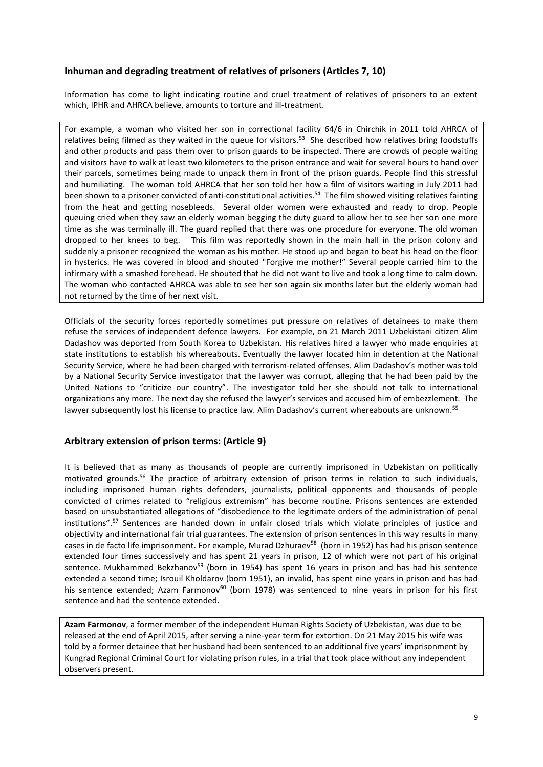# **Inhuman and degrading treatment of relatives of prisoners (Articles 7, 10)**

Information has come to light indicating routine and cruel treatment of relatives of prisoners to an extent which, IPHR and AHRCA believe, amounts to torture and ill-treatment.

For example, a woman who visited her son in correctional facility 64/6 in Chirchik in 2011 told AHRCA of relatives being filmed as they waited in the queue for visitors.<sup>53</sup> She described how relatives bring foodstuffs and other products and pass them over to prison guards to be inspected. There are crowds of people waiting and visitors have to walk at least two kilometers to the prison entrance and wait for several hours to hand over their parcels, sometimes being made to unpack them in front of the prison guards. People find this stressful and humiliating. The woman told AHRCA that her son told her how a film of visitors waiting in July 2011 had been shown to a prisoner convicted of anti-constitutional activities.<sup>54</sup> The film showed visiting relatives fainting from the heat and getting nosebleeds. Several older women were exhausted and ready to drop. People queuing cried when they saw an elderly woman begging the duty guard to allow her to see her son one more time as she was terminally ill. The guard replied that there was one procedure for everyone. The old woman dropped to her knees to beg. This film was reportedly shown in the main hall in the prison colony and suddenly a prisoner recognized the woman as his mother. He stood up and began to beat his head on the floor in hysterics. He was covered in blood and shouted "Forgive me mother!" Several people carried him to the infirmary with a smashed forehead. He shouted that he did not want to live and took a long time to calm down. The woman who contacted AHRCA was able to see her son again six months later but the elderly woman had not returned by the time of her next visit.

Officials of the security forces reportedly sometimes put pressure on relatives of detainees to make them refuse the services of independent defence lawyers. For example, on 21 March 2011 Uzbekistani citizen Alim Dadashov was deported from South Korea to Uzbekistan. His relatives hired a lawyer who made enquiries at state institutions to establish his whereabouts. Eventually the lawyer located him in detention at the National Security Service, where he had been charged with terrorism-related offenses. Alim Dadashov's mother was told by a National Security Service investigator that the lawyer was corrupt, alleging that he had been paid by the United Nations to "criticize our country". The investigator told her she should not talk to international organizations any more. The next day she refused the lawyer's services and accused him of embezzlement. The lawyer subsequently lost his license to practice law. Alim Dadashov's current whereabouts are unknown.<sup>55</sup>

### **Arbitrary extension of prison terms: (Article 9)**

It is believed that as many as thousands of people are currently imprisoned in Uzbekistan on politically motivated grounds.<sup>56</sup> The practice of arbitrary extension of prison terms in relation to such individuals, including imprisoned human rights defenders, journalists, political opponents and thousands of people convicted of crimes related to "religious extremism" has become routine. Prisons sentences are extended based on unsubstantiated allegations of "disobedience to the legitimate orders of the administration of penal institutions".<sup>57</sup> Sentences are handed down in unfair closed trials which violate principles of justice and objectivity and international fair trial guarantees. The extension of prison sentences in this way results in many cases in de facto life imprisonment. For example, Murad Dzhuraev<sup>58</sup> (born in 1952) has had his prison sentence extended four times successively and has spent 21 years in prison, 12 of which were not part of his original sentence. Mukhammed Bekzhanov<sup>59</sup> (born in 1954) has spent 16 years in prison and has had his sentence extended a second time; Isrouil Kholdarov (born 1951), an invalid, has spent nine years in prison and has had his sentence extended; Azam Farmonov<sup>60</sup> (born 1978) was sentenced to nine years in prison for his first sentence and had the sentence extended.

**Azam Farmonov**, a former member of the independent Human Rights Society of Uzbekistan, was due to be released at the end of April 2015, after serving a nine-year term for extortion. On 21 May 2015 his wife was told by a former detainee that her husband had been sentenced to an additional five years' imprisonment by Kungrad Regional Criminal Court for violating prison rules, in a trial that took place without any independent observers present.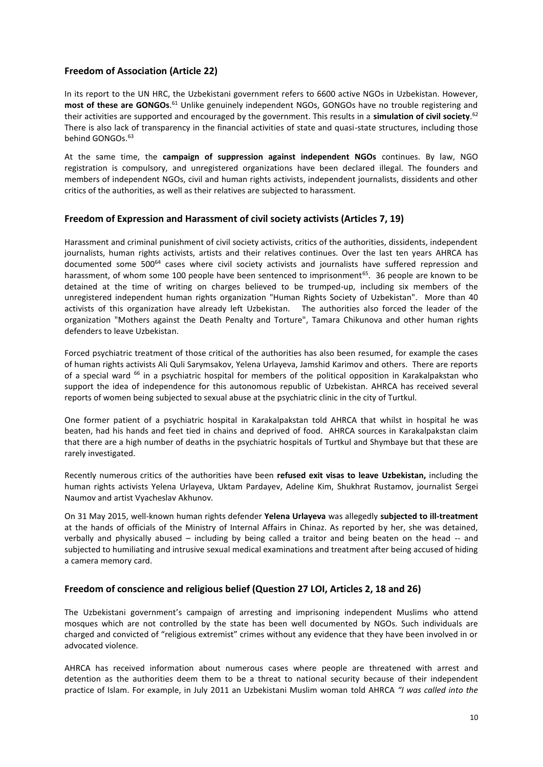# **Freedom of Association (Article 22)**

In its report to the UN HRC, the Uzbekistani government refers to 6600 active NGOs in Uzbekistan. However, most of these are GONGOs.<sup>61</sup> Unlike genuinely independent NGOs, GONGOs have no trouble registering and their activities are supported and encouraged by the government. This results in a **simulation of civil society**. 62 There is also lack of transparency in the financial activities of state and quasi-state structures, including those behind GONGOs.<sup>63</sup>

At the same time, the **campaign of suppression against independent NGOs** continues. By law, NGO registration is compulsory, and unregistered organizations have been declared illegal. The founders and members of independent NGOs, civil and human rights activists, independent journalists, dissidents and other critics of the authorities, as well as their relatives are subjected to harassment.

### **Freedom of Expression and Harassment of civil society activists (Articles 7, 19)**

Harassment and criminal punishment of civil society activists, critics of the authorities, dissidents, independent journalists, human rights activists, artists and their relatives continues. Over the last ten years AHRCA has documented some 500<sup>64</sup> cases where civil society activists and journalists have suffered repression and harassment, of whom some 100 people have been sentenced to imprisonment<sup>65</sup>. 36 people are known to be detained at the time of writing on charges believed to be trumped-up, including six members of the unregistered independent human rights organization "Human Rights Society of Uzbekistan". More than 40 activists of this organization have already left Uzbekistan. The authorities also forced the leader of the organization "Mothers against the Death Penalty and Torture", Tamara Chikunova and other human rights defenders to leave Uzbekistan.

Forced psychiatric treatment of those critical of the authorities has also been resumed, for example the cases of human rights activists Ali Quli Sarymsakov, Yelena Urlayeva, Jamshid Karimov and others. There are reports of a special ward <sup>66</sup> in a psychiatric hospital for members of the political opposition in Karakalpakstan who support the idea of independence for this autonomous republic of Uzbekistan. AHRCA has received several reports of women being subjected to sexual abuse at the psychiatric clinic in the city of Turtkul.

One former patient of a psychiatric hospital in Karakalpakstan told AHRCA that whilst in hospital he was beaten, had his hands and feet tied in chains and deprived of food. AHRCA sources in Karakalpakstan claim that there are a high number of deaths in the psychiatric hospitals of Turtkul and Shymbaye but that these are rarely investigated.

Recently numerous critics of the authorities have been **refused exit visas to leave Uzbekistan,** including the human rights activists Yelena Urlayeva, Uktam Pardayev, Adeline Kim, Shukhrat Rustamov, journalist Sergei Naumov and artist Vyacheslav Akhunov.

On 31 May 2015, well-known human rights defender **Yelena Urlayeva** was allegedly **subjected to ill-treatment** at the hands of officials of the Ministry of Internal Affairs in Chinaz. As reported by her, she was detained, verbally and physically abused – including by being called a traitor and being beaten on the head -- and subjected to humiliating and intrusive sexual medical examinations and treatment after being accused of hiding a camera memory card.

### **Freedom of conscience and religious belief (Question 27 LOI, Articles 2, 18 and 26)**

The Uzbekistani government's campaign of arresting and imprisoning independent Muslims who attend mosques which are not controlled by the state has been well documented by NGOs. Such individuals are charged and convicted of "religious extremist" crimes without any evidence that they have been involved in or advocated violence.

AHRCA has received information about numerous cases where people are threatened with arrest and detention as the authorities deem them to be a threat to national security because of their independent practice of Islam. For example, in July 2011 an Uzbekistani Muslim woman told AHRCA *"I was called into the*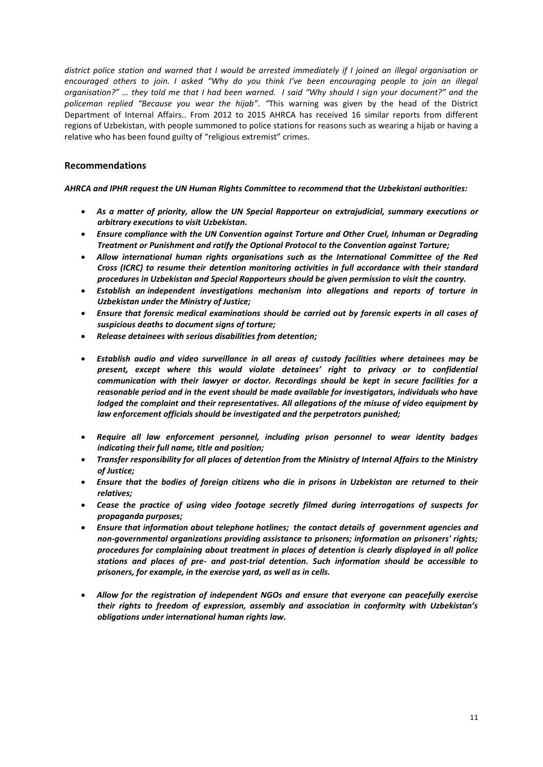*district police station and warned that I would be arrested immediately if I joined an illegal organisation or encouraged others to join. I asked "Why do you think I've been encouraging people to join an illegal organisation?" … they told me that I had been warned. I said "Why should I sign your document?" and the policeman replied "Because you wear the hijab". "*This warning was given by the head of the District Department of Internal Affairs.. From 2012 to 2015 AHRCA has received 16 similar reports from different regions of Uzbekistan, with people summoned to police stations for reasons such as wearing a hijab or having a relative who has been found guilty of "religious extremist" crimes.

### **Recommendations**

#### *AHRCA and IPHR request the UN Human Rights Committee to recommend that the Uzbekistani authorities:*

- *As a matter of priority, allow the UN Special Rapporteur on extrajudicial, summary executions or arbitrary executions to visit Uzbekistan.*
- *Ensure compliance with the UN Convention against Torture and Other Cruel, Inhuman or Degrading Treatment or Punishment and ratify the Optional Protocol to the Convention against Torture;*
- *Allow international human rights organisations such as the International Committee of the Red Cross (ICRC) to resume their detention monitoring activities in full accordance with their standard procedures in Uzbekistan and Special Rapporteurs should be given permission to visit the country.*
- *Establish an independent investigations mechanism into allegations and reports of torture in Uzbekistan under the Ministry of Justice;*
- *Ensure that forensic medical examinations should be carried out by forensic experts in all cases of suspicious deaths to document signs of torture;*
- *Release detainees with serious disabilities from detention;*
- *Establish audio and video surveillance in all areas of custody facilities where detainees may be present, except where this would violate detainees' right to privacy or to confidential communication with their lawyer or doctor. Recordings should be kept in secure facilities for a reasonable period and in the event should be made available for investigators, individuals who have lodged the complaint and their representatives. All allegations of the misuse of video equipment by law enforcement officials should be investigated and the perpetrators punished;*
- *Require all law enforcement personnel, including prison personnel to wear identity badges indicating their full name, title and position;*
- *Transfer responsibility for all places of detention from the Ministry of Internal Affairs to the Ministry of Justice;*
- *Ensure that the bodies of foreign citizens who die in prisons in Uzbekistan are returned to their relatives;*
- *Cease the practice of using video footage secretly filmed during interrogations of suspects for propaganda purposes;*
- *Ensure that information about telephone hotlines; the contact details of government agencies and non-governmental organizations providing assistance to prisoners; information on prisoners' rights; procedures for complaining about treatment in places of detention is clearly displayed in all police stations and places of pre- and post-trial detention. Such information should be accessible to prisoners, for example, in the exercise yard, as well as in cells.*
- *Allow for the registration of independent NGOs and ensure that everyone can peacefully exercise their rights to freedom of expression, assembly and association in conformity with Uzbekistan's obligations under international human rights law.*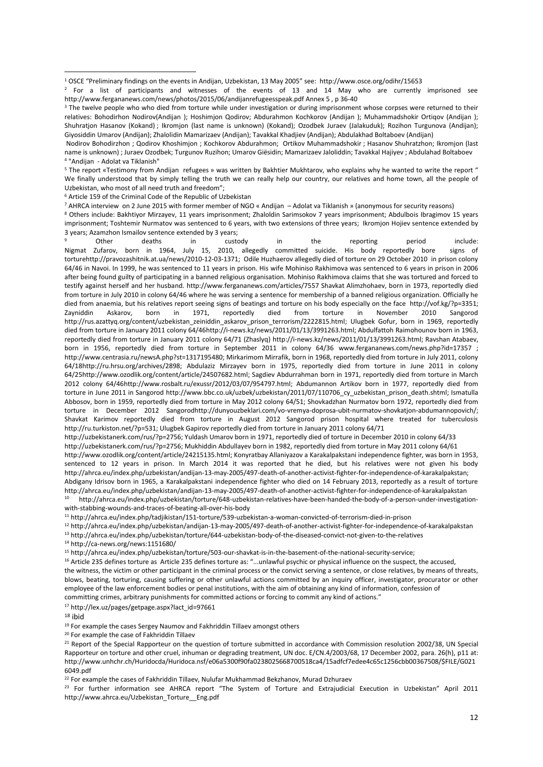$2$  For a list of participants and witnesses of the events of 13 and 14 May who are currently imprisoned see http://www.fergananews.com/news/photos/2015/06/andijanrefugeesspeak.pdf Annex 5 , p 36-40

<sup>5</sup> The report «Testimony from Andijan refugees » was written by Bakhtier Mukhtarov, who explains why he wanted to write the report " We finally understood that by simply telling the truth we can really help our country, our relatives and home town, all the people of Uzbekistan, who most of all need truth and freedom";

<sup>6</sup> Article 159 of the Criminal Code of the Republic of Uzbekistan

**.** 

<sup>7</sup> AHRCA interview on 2 June 2015 with former member of NGO « Andijan – Adolat va Tiklanish » (anonymous for security reasons)

8 Others include: Bakhtiyor Mirzayev, 11 years imprisonment; Zhaloldin Sarimsokov 7 years imprisonment; Abdulbois Ibragimov 15 years imprisonment; Toshtemir Nurmatov was sentenced to 6 years, with two extensions of three years; Ikromjon Hojiev sentence extended by 3 years; Azamzhon Ismailov sentence extended by 3 years;

<sup>9</sup> Other deaths in custody in the reporting period include: Nigmat Zufarov, born in 1964, July 15, 2010, allegedly committed suicide. His body reportedly bore signs of torturehttp://pravozashitnik.at.ua/news/2010-12-03-1371; Odile Huzhaerov allegedly died of torture on 29 October 2010 in prison colony 64/46 in Navoi. In 1999, he was sentenced to 11 years in prison. His wife Mohiniso Rakhimova was sentenced to 6 years in prison in 2006 after being found guilty of participating in a banned religious organisation. Mohiniso Rakhimova claims that she was tortured and forced to testify against herself and her husband. http://www.fergananews.com/articles/7557 Shavkat Alimzhohaev, born in 1973, reportedly died from torture in July 2010 in colony 64/46 where he was serving a sentence for membership of a banned religious organization. Officially he died from anaemia, but his relatives report seeing signs of beatings and torture on his body especially on the face http://vof.kg/?p=3351; Zayniddin Askarov, born in 1971, reportedly died from torture in November 2010 Sangorod http://rus.azattyq.org/content/uzbekistan\_zeiniddin\_askarov\_prison\_terrorism/2222815.html; Ulugbek Gofur, born in 1969, reportedly died from torture in January 2011 colony 64/46http://i-news.kz/news/2011/01/13/3991263.html; Abdulfattoh Raimohounov born in 1963, reportedly died from torture in January 2011 colony 64/71 (Zhaslyq) http://i-news.kz/news/2011/01/13/3991263.html; Ravshan Atabaev, born in 1956, reportedly died from torture in September 2011 in colony 64/36 www.fergananews.com/news.php?id=17357 ; http://www.centrasia.ru/newsA.php?st=1317195480; Mirkarimom Mirrafik, born in 1968, reportedly died from torture in July 2011, colony 64/18http://ru.hrsu.org/archives/2898; Abdulaziz Mirzayev born in 1975, reportedly died from torture in June 2011 in colony 64/25http://www.ozodlik.org/content/article/24507682.html; Sagdiev Abdurrahman born in 1971, reportedly died from torture in March 2012 colony 64/46http://www.rosbalt.ru/exussr/2012/03/07/954797.html; Abdumannon Artikov born in 1977, reportedly died from torture in June 2011 in Sangorod http://www.bbc.co.uk/uzbek/uzbekistan/2011/07/110706\_cy\_uzbekistan\_prison\_death.shtml; Ismatulla Abbosov, born in 1959, reportedly died from torture in May 2012 colony 64/51; Shovkadzhan Nurmatov born 1972, reportedly died from torture in December 2012 Sangorodhttp://dunyouzbeklari.com/vo-vremya-doprosa-ubit-nurmatov-shovkatjon-abdumannopovich/; Shavkat Karimov reportedly died from torture in August 2012 Sangorod prison hospital where treated for tuberculosis http://ru.turkiston.net/?p=531; Ulugbek Gapirov reportedly died from torture in January 2011 colony 64/71

http://uzbekistanerk.com/rus/?p=2756; Yuldash Umarov born in 1971, reportedly died of torture in December 2010 in colony 64/33 http://uzbekistanerk.com/rus/?p=2756; Mukhiddin Abdullayev born in 1982, reportedly died from torture in May 2011 colony 64/61 http://www.ozodlik.org/content/article/24215135.html; Konyratbay Allaniyazov a Karakalpakstani independence fighter, was born in 1953, sentenced to 12 years in prison. In March 2014 it was reported that he died, but his relatives were not given his body http://ahrca.eu/index.php/uzbekistan/andijan-13-may-2005/497-death-of-another-activist-fighter-for-independence-of-karakalpakstan; Abdigany Idrisov born in 1965, a Karakalpakstani independence fighter who died on 14 February 2013, reportedly as a result of torture http://ahrca.eu/index.php/uzbekistan/andijan-13-may-2005/497-death-of-another-activist-fighter-for-independence-of-karakalpakstan <sup>10</sup> http://ahrca.eu/index.php/uzbekistan/torture/648-uzbekistan-relatives-have-been-handed-the-body-of-a-person-under-investigation-

with-stabbing-wounds-and-traces-of-beating-all-over-his-body

<sup>11</sup> http://ahrca.eu/index.php/tadjikistan/151-torture/539-uzbekistan-a-woman-convicted-of-terrorism-died-in-prison

<sup>12</sup> http://ahrca.eu/index.php/uzbekistan/andijan-13-may-2005/497-death-of-another-activist-fighter-for-independence-of-karakalpakstan <sup>13</sup> http://ahrca.eu/index.php/uzbekistan/torture/644-uzbekistan-body-of-the-diseased-convict-not-given-to-the-relatives

<sup>14</sup> http://ca-news.org/news:1151680/

<sup>15</sup> http://ahrca.eu/index.php/uzbekistan/torture/503-our-shavkat-is-in-the-basement-of-the-national-security-service;

<sup>16</sup> Article 235 defines torture as Article 235 defines torture as: "...unlawful psychic or physical influence on the suspect, the accused, the witness, the victim or other participant in the criminal process or the convict serving a sentence, or close relatives, by means of threats, blows, beating, torturing, causing suffering or other unlawful actions committed by an inquiry officer, investigator, procurator or other employee of the law enforcement bodies or penal institutions, with the aim of obtaining any kind of information, confession of committing crimes, arbitrary punishments for committed actions or forcing to commit any kind of actions."

#### <sup>17</sup> http://lex.uz/pages/getpage.aspx?lact\_id=97661

<sup>18</sup> ibid

<sup>19</sup> For example the cases Sergey Naumov and Fakhriddin Tillaev amongst others

<sup>20</sup> For example the case of Fakhriddin Tillaev

<sup>21</sup> Report of the Special Rapporteur on the question of torture submitted in accordance with Commission resolution 2002/38, UN Special Rapporteur on torture and other cruel, inhuman or degrading treatment, UN doc. E/CN.4/2003/68, 17 December 2002, para. 26(h), p11 at: http://www.unhchr.ch/Huridocda/Huridoca.nsf/e06a5300f90fa0238025668700518ca4/15adfcf7edee4c65c1256cbb00367508/\$FILE/G021 6049.pdf

<sup>22</sup> For example the cases of Fakhriddin Tillaev, Nulufar Mukhammad Bekzhanov, Murad Dzhuraev

<sup>23</sup> For further information see AHRCA report "The System of Torture and Extrajudicial Execution in Uzbekistan" April 2011 http://www.ahrca.eu/Uzbekistan\_Torture\_\_Eng.pdf

<sup>1</sup> OSCE "Preliminary findings on the events in Andijan, Uzbekistan, 13 May 2005" see: http://www.osce.org/odihr/15653

<sup>&</sup>lt;sup>3</sup> The twelve people who who died from torture while under investigation or during imprisonment whose corpses were returned to their relatives: Bohodirhon Nodirov(Andijan ); Hoshimjon Qodirov; Abdurahmon Kochkorov (Andijan ); Muhammadshokir Ortiqov (Andijan ); Shuhratjon Hasanov (Kokand) ; Ikromjon (last name is unknown) (Kokand); Ozodbek Juraev (Jalakuduk); Rozihon Turgunova (Andijan); Giyosiddin Umarov (Andijan); Zhalolidin Mamarizaev (Andijan); Tavakkal Khadjiev (Andijan); Abdulakhad Boltaboev (Andijan)

Nodirov Bohodirzhon ; Qodirov Khoshimjon ; Kochkorov Abdurahmon; Ortikov Muhammadshokir ; Hasanov Shuhratzhon; Ikromjon (last name is unknown) ; Juraev Ozodbek; Turgunov Ruzihon; Umarov Giёsidin; Mamarizaev Jaloliddin; Tavakkal Hajiyev ; Abdulahad Boltaboev 4 "Andijan - Adolat va Tiklanish"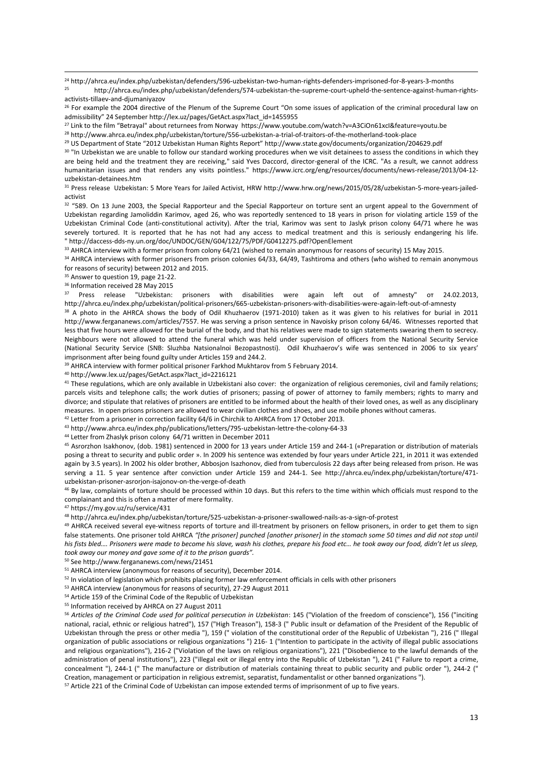<sup>24</sup> http://ahrca.eu/index.php/uzbekistan/defenders/596-uzbekistan-two-human-rights-defenders-imprisoned-for-8-years-3-months<br>http://ahrca.eu/index.php/uzbekistan/defenders/534.uzbekistan.the sunreme sourt unbeld the sent

<sup>25</sup> http://ahrca.eu/index.php/uzbekistan/defenders/574-uzbekistan-the-supreme-court-upheld-the-sentence-against-human-rightsactivists-tillaev-and-djumaniyazov

<sup>26</sup> For example the 2004 directive of the Plenum of the Supreme Court "On some issues of application of the criminal procedural law on admissibility" 24 September http://lex.uz/pages/GetAct.aspx?lact\_id=1455955

<sup>27</sup> Link to the film "Betrayal" about returnees from Norway https://www.youtube.com/watch?v=A3CiOn61xcI&feature=youtu.be

<sup>28</sup> http://www.ahrca.eu/index.php/uzbekistan/torture/556-uzbekistan-a-trial-of-traitors-of-the-motherland-took-place

<sup>29</sup> US Department of State "2012 Uzbekistan Human Rights Report" http://www.state.gov/documents/organization/204629.pdf

30 "In Uzbekistan we are unable to follow our standard working procedures when we visit detainees to assess the conditions in which they are being held and the treatment they are receiving," said Yves Daccord, director-general of the ICRC. "As a result, we cannot address humanitarian issues and that renders any visits pointless." https://www.icrc.org/eng/resources/documents/news-release/2013/04-12 uzbekistan-detainees.htm

31 Press release Uzbekistan: 5 More Years for Jailed Activist, HRW http://www.hrw.org/news/2015/05/28/uzbekistan-5-more-years-jailedactivist

32 "589. On 13 June 2003, the Special Rapporteur and the Special Rapporteur on torture sent an urgent appeal to the Government of Uzbekistan regarding Jamoliddin Karimov, aged 26, who was reportedly sentenced to 18 years in prison for violating article 159 of the Uzbekistan Criminal Code (anti-constitutional activity). After the trial, Karimov was sent to Jaslyk prison colony 64/71 where he was severely tortured. It is reported that he has not had any access to medical treatment and this is seriously endangering his life. " http://daccess-dds-ny.un.org/doc/UNDOC/GEN/G04/122/75/PDF/G0412275.pdf?OpenElement

<sup>33</sup> AHRCA interview with a former prison from colony 64/21 (wished to remain anonymous for reasons of security) 15 May 2015.

34 AHRCA interviews with former prisoners from prison colonies 64/33, 64/49, Tashtiroma and others (who wished to remain anonymous for reasons of security) between 2012 and 2015.

<sup>35</sup> Answer to question 19, page 21-22.

 $36$  Information received 28 May 2015<br> $37$  Press release "Uzbekistan:

 $\overline{a}$ 

prisoners with disabilities were again left out of amnesty" от 24.02.2013, http://ahrca.eu/index.php/uzbekistan/political-prisoners/665-uzbekistan-prisoners-with-disabilities-were-again-left-out-of-amnesty

<sup>38</sup> A photo in the AHRCA shows the body of Odil Khuzhaerov (1971-2010) taken as it was given to his relatives for burial in 2011 http://www.fergananews.com/articles/7557. He was serving a prison sentence in Navoisky prison colony 64/46. Witnesses reported that less that five hours were allowed for the burial of the body, and that his relatives were made to sign statements swearing them to secrecy. Neighbours were not allowed to attend the funeral which was held under supervision of officers from the National Security Service (National Security Service (SNB: Sluzhba Natsionalnoi Bezopastnosti). Odil Khuzhaerov's wife was sentenced in 2006 to six years' imprisonment after being found guilty under Articles 159 and 244.2.

<sup>39</sup> AHRCA interview with former political prisoner Farkhod Mukhtarov from 5 February 2014.

<sup>40</sup> http://www.lex.uz/pages/GetAct.aspx?lact\_id=2216121

<sup>41</sup> These regulations, which are only available in Uzbekistani also cover: the organization of religious ceremonies, civil and family relations; parcels visits and telephone calls; the work duties of prisoners; passing of power of attorney to family members; rights to marry and divorce; and stipulate that relatives of prisoners are entitled to be informed about the health of their loved ones, as well as any disciplinary measures. In open prisons prisoners are allowed to wear civilian clothes and shoes, and use mobile phones without cameras.

42 Letter from a prisoner in correction facility 64/6 in Chirchik to AHRCA from 17 October 2013.

<sup>43</sup> http://www.ahrca.eu/index.php/publications/letters/795-uzbekistan-lettre-the-colony-64-33

<sup>44</sup> Letter from Zhaslyk prison colony 64/71 written in December 2011

45 Asrorzhon Isakhonov, (dob. 1981) sentenced in 2000 for 13 years under Article 159 and 244-1 («Preparation or distribution of materials posing a threat to security and public order ». In 2009 his sentence was extended by four years under Article 221, in 2011 it was extended again by 3.5 years). In 2002 his older brother, Abbosjon Isazhonov, died from tuberculosis 22 days after being released from prison. He was serving a 11. 5 year sentence after conviction under Article 159 and 244-1. See http://ahrca.eu/index.php/uzbekistan/torture/471 uzbekistan-prisoner-asrorjon-isajonov-on-the-verge-of-death

<sup>46</sup> By law, complaints of torture should be processed within 10 days. But this refers to the time within which officials must respond to the complainant and this is often a matter of mere formality.

<sup>47</sup> https://my.gov.uz/ru/service/431

<sup>48</sup> http://ahrca.eu/index.php/uzbekistan/torture/525-uzbekistan-a-prisoner-swallowed-nails-as-a-sign-of-protest

49 AHRCA received several eye-witness reports of torture and ill-treatment by prisoners on fellow prisoners, in order to get them to sign false statements. One prisoner told AHRCA *"[the prisoner] punched [another prisoner] in the stomach some 50 times and did not stop until his fists bled…. Prisoners were made to become his slave, wash his clothes, prepare his food etc… he took away our food, didn't let us sleep, took away our money and gave some of it to the prison guards".* 

<sup>50</sup> See http://www.fergananews.com/news/21451

<sup>51</sup> AHRCA interview (anonymous for reasons of security), December 2014.

52 In violation of legislation which prohibits placing former law enforcement officials in cells with other prisoners

<sup>53</sup> AHRCA interview (anonymous for reasons of security), 27-29 August 2011

<sup>54</sup> Article 159 of the Criminal Code of the Republic of Uzbekistan

<sup>55</sup> Information received by AHRCA on 27 August 2011

<sup>56</sup> *Articles of the Criminal Code used for political persecution in Uzbekistan*: 145 ("Violation of the freedom of conscience"), 156 ("inciting national, racial, ethnic or religious hatred"), 157 ("High Treason"), 158-3 (" Public insult or defamation of the President of the Republic of Uzbekistan through the press or other media "), 159 (" violation of the constitutional order of the Republic of Uzbekistan "), 216 (" Illegal organization of public associations or religious organizations ") 216- 1 ("Intention to participate in the activity of illegal public associations and religious organizations"), 216-2 ("Violation of the laws on religious organizations"), 221 ("Disobedience to the lawful demands of the administration of penal institutions"), 223 ("illegal exit or illegal entry into the Republic of Uzbekistan "), 241 (" Failure to report a crime, concealment "), 244-1 (" The manufacture or distribution of materials containing threat to public security and public order "), 244-2 (" Creation, management or participation in religious extremist, separatist, fundamentalist or other banned organizations ").

<sup>57</sup> Article 221 of the Criminal Code of Uzbekistan can impose extended terms of imprisonment of up to five years.